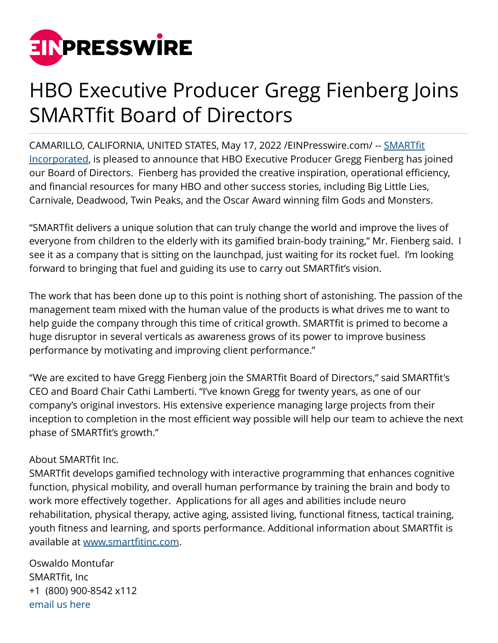

## HBO Executive Producer Gregg Fienberg Joins SMARTfit Board of Directors

CAMARILLO, CALIFORNIA, UNITED STATES, May 17, 2022 /[EINPresswire.com/](http://www.einpresswire.com) -- [SMARTfit](https://smartfitinc.com) [Incorporated,](https://smartfitinc.com) is pleased to announce that HBO Executive Producer Gregg Fienberg has joined our Board of Directors. Fienberg has provided the creative inspiration, operational efficiency, and financial resources for many HBO and other success stories, including Big Little Lies, Carnivale, Deadwood, Twin Peaks, and the Oscar Award winning film Gods and Monsters.

"SMARTfit delivers a unique solution that can truly change the world and improve the lives of everyone from children to the elderly with its gamified brain-body training," Mr. Fienberg said. I see it as a company that is sitting on the launchpad, just waiting for its rocket fuel. I'm looking forward to bringing that fuel and guiding its use to carry out SMARTfit's vision.

The work that has been done up to this point is nothing short of astonishing. The passion of the management team mixed with the human value of the products is what drives me to want to help guide the company through this time of critical growth. SMARTfit is primed to become a huge disruptor in several verticals as awareness grows of its power to improve business performance by motivating and improving client performance."

"We are excited to have Gregg Fienberg join the SMARTfit Board of Directors," said SMARTfit's CEO and Board Chair Cathi Lamberti. "I've known Gregg for twenty years, as one of our company's original investors. His extensive experience managing large projects from their inception to completion in the most efficient way possible will help our team to achieve the next phase of SMARTfit's growth."

## About SMARTfit Inc.

SMARTfit develops gamified technology with interactive programming that enhances cognitive function, physical mobility, and overall human performance by training the brain and body to work more effectively together. Applications for all ages and abilities include neuro rehabilitation, physical therapy, active aging, assisted living, functional fitness, tactical training, youth fitness and learning, and sports performance. Additional information about SMARTfit is available at [www.smartfitinc.com](https://smartfitinc.com).

Oswaldo Montufar SMARTfit, Inc +1 (800) 900-8542 x112 [email us here](http://www.einpresswire.com/contact_author/3488643)